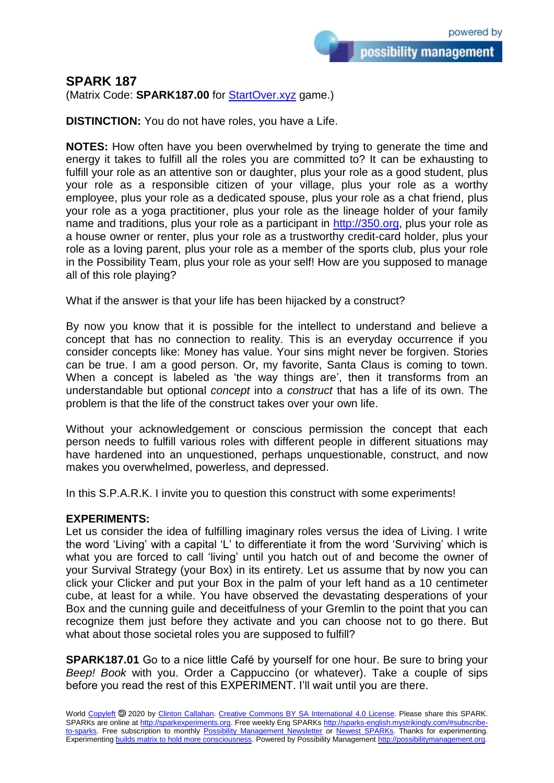possibility management

## **SPARK 187**

(Matrix Code: **SPARK187.00** for **StartOver.xyz** game.)

**DISTINCTION:** You do not have roles, you have a Life.

**NOTES:** How often have you been overwhelmed by trying to generate the time and energy it takes to fulfill all the roles you are committed to? It can be exhausting to fulfill your role as an attentive son or daughter, plus your role as a good student, plus your role as a responsible citizen of your village, plus your role as a worthy employee, plus your role as a dedicated spouse, plus your role as a chat friend, plus your role as a yoga practitioner, plus your role as the lineage holder of your family name and traditions, plus your role as a participant in [http://350.org,](http://350.org/) plus your role as a house owner or renter, plus your role as a trustworthy credit-card holder, plus your role as a loving parent, plus your role as a member of the sports club, plus your role in the Possibility Team, plus your role as your self! How are you supposed to manage all of this role playing?

What if the answer is that your life has been hijacked by a construct?

By now you know that it is possible for the intellect to understand and believe a concept that has no connection to reality. This is an everyday occurrence if you consider concepts like: Money has value. Your sins might never be forgiven. Stories can be true. I am a good person. Or, my favorite, Santa Claus is coming to town. When a concept is labeled as 'the way things are', then it transforms from an understandable but optional *concept* into a *construct* that has a life of its own. The problem is that the life of the construct takes over your own life.

Without your acknowledgement or conscious permission the concept that each person needs to fulfill various roles with different people in different situations may have hardened into an unquestioned, perhaps unquestionable, construct, and now makes you overwhelmed, powerless, and depressed.

In this S.P.A.R.K. I invite you to question this construct with some experiments!

## **EXPERIMENTS:**

Let us consider the idea of fulfilling imaginary roles versus the idea of Living. I write the word 'Living' with a capital 'L' to differentiate it from the word 'Surviving' which is what you are forced to call 'living' until you hatch out of and become the owner of your Survival Strategy (your Box) in its entirety. Let us assume that by now you can click your Clicker and put your Box in the palm of your left hand as a 10 centimeter cube, at least for a while. You have observed the devastating desperations of your Box and the cunning guile and deceitfulness of your Gremlin to the point that you can recognize them just before they activate and you can choose not to go there. But what about those societal roles you are supposed to fulfill?

**SPARK187.01** Go to a nice little Café by yourself for one hour. Be sure to bring your *Beep! Book* with you. Order a Cappuccino (or whatever). Take a couple of sips before you read the rest of this EXPERIMENT. I'll wait until you are there.